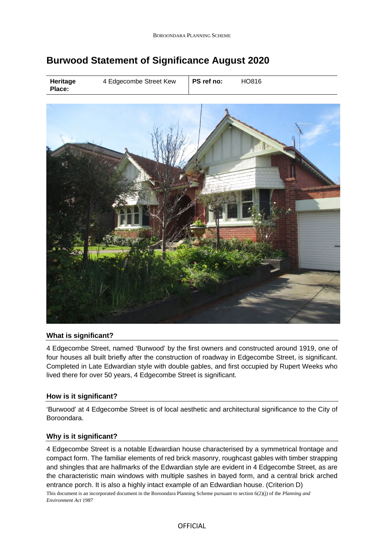# **Burwood Statement of Significance August 2020**

| Heritage<br>Place: | 4 Edgecombe Street Kew | PS ref no: | HO816 |
|--------------------|------------------------|------------|-------|
|--------------------|------------------------|------------|-------|



## **What is significant?**

4 Edgecombe Street, named 'Burwood' by the first owners and constructed around 1919, one of four houses all built briefly after the construction of roadway in Edgecombe Street, is significant. Completed in Late Edwardian style with double gables, and first occupied by Rupert Weeks who lived there for over 50 years, 4 Edgecombe Street is significant.

## **How is it significant?**

'Burwood' at 4 Edgecombe Street is of local aesthetic and architectural significance to the City of Boroondara.

## **Why is it significant?**

This document is an incorporated document in the Boroondara Planning Scheme pursuant to section 6(2)(j) of the *Planning and Environment Act 1987* 4 Edgecombe Street is a notable Edwardian house characterised by a symmetrical frontage and compact form. The familiar elements of red brick masonry, roughcast gables with timber strapping and shingles that are hallmarks of the Edwardian style are evident in 4 Edgecombe Street, as are the characteristic main windows with multiple sashes in bayed form, and a central brick arched entrance porch. It is also a highly intact example of an Edwardian house. (Criterion D)

#### **OFFICIAL**